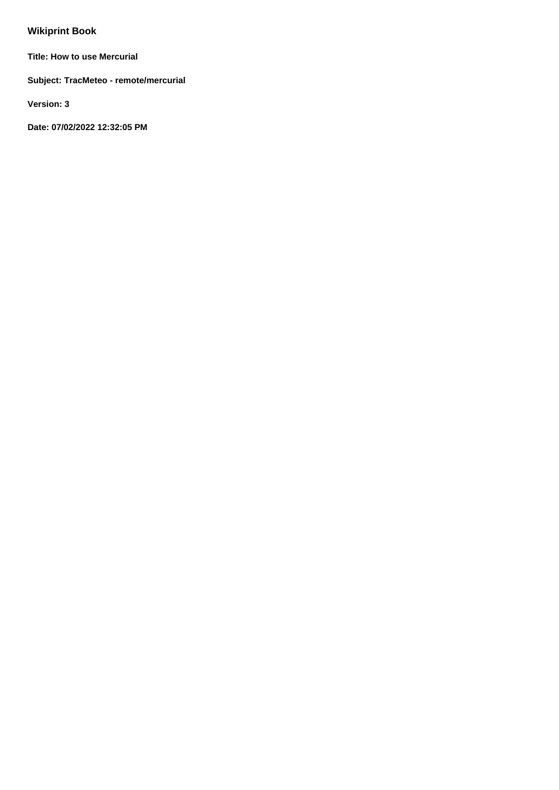# **Wikiprint Book**

**Title: How to use Mercurial**

**Subject: TracMeteo - remote/mercurial**

**Version: 3**

**Date: 07/02/2022 12:32:05 PM**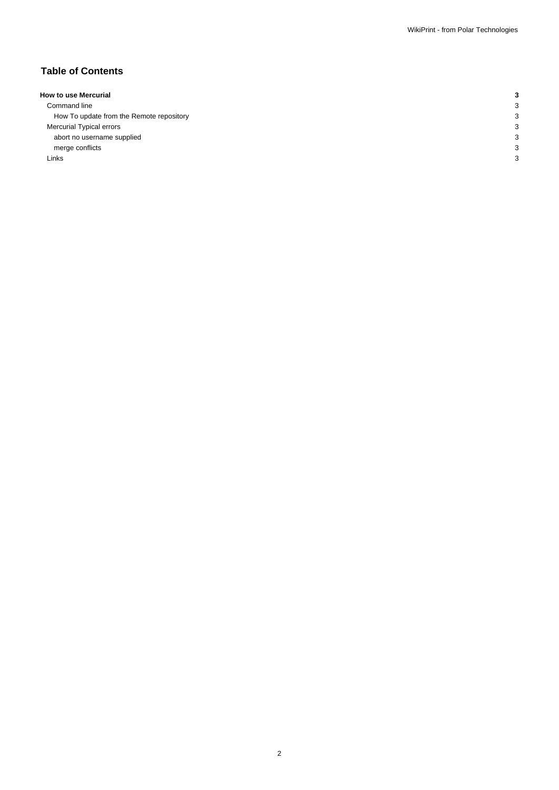# **Table of Contents**

| <b>How to use Mercurial</b>              |   |
|------------------------------------------|---|
| Command line                             | З |
| How To update from the Remote repository | З |
| Mercurial Typical errors                 | З |
| abort no username supplied               | З |
| merge conflicts                          | p |
| Links                                    | о |
|                                          |   |